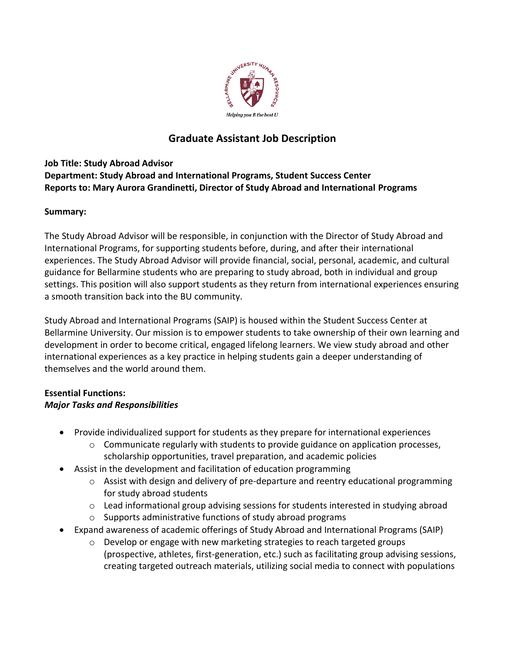

# **Graduate Assistant Job Description**

# **Job Title: Study Abroad Advisor Department: Study Abroad and International Programs, Student Success Center Reports to: Mary Aurora Grandinetti, Director of Study Abroad and International Programs**

# **Summary:**

The Study Abroad Advisor will be responsible, in conjunction with the Director of Study Abroad and International Programs, for supporting students before, during, and after their international experiences. The Study Abroad Advisor will provide financial, social, personal, academic, and cultural guidance for Bellarmine students who are preparing to study abroad, both in individual and group settings. This position will also support students as they return from international experiences ensuring a smooth transition back into the BU community.

Study Abroad and International Programs (SAIP) is housed within the Student Success Center at Bellarmine University. Our mission is to empower students to take ownership of their own learning and development in order to become critical, engaged lifelong learners. We view study abroad and other international experiences as a key practice in helping students gain a deeper understanding of themselves and the world around them.

## **Essential Functions:** *Major Tasks and Responsibilities*

- Provide individualized support for students as they prepare for international experiences
	- o Communicate regularly with students to provide guidance on application processes, scholarship opportunities, travel preparation, and academic policies
- Assist in the development and facilitation of education programming
	- o Assist with design and delivery of pre-departure and reentry educational programming for study abroad students
	- $\circ$  Lead informational group advising sessions for students interested in studying abroad
	- o Supports administrative functions of study abroad programs
- Expand awareness of academic offerings of Study Abroad and International Programs (SAIP)
	- $\circ$  Develop or engage with new marketing strategies to reach targeted groups (prospective, athletes, first-generation, etc.) such as facilitating group advising sessions, creating targeted outreach materials, utilizing social media to connect with populations